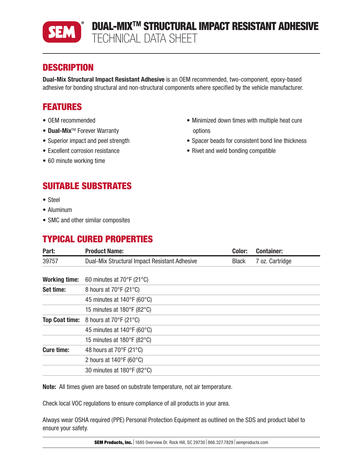

# **DESCRIPTION**

Dual-Mix Structural Impact Resistant Adhesive is an OEM recommended, two-component, epoxy-based adhesive for bonding structural and non-structural components where specified by the vehicle manufacturer.

# FEATURES

- OEM recommended
- Dual-Mix™ Forever Warranty
- Superior impact and peel strength
- Excellent corrosion resistance
- 60 minute working time
- Minimized down times with multiple heat cure options
- Spacer beads for consistent bond line thickness
- Rivet and weld bonding compatible

# SUITABLE SUBSTRATES

- Steel
- Aluminum
- SMC and other similar composites

## TYPICAL CURED PROPERTIES

| Part:                 | <b>Product Name:</b>                            | Color:       | <b>Container:</b> |
|-----------------------|-------------------------------------------------|--------------|-------------------|
| 39757                 | Dual-Mix Structural Impact Resistant Adhesive   | <b>Black</b> | 7 oz. Cartridge   |
| <b>Working time:</b>  | 60 minutes at $70^{\circ}$ F (21 $^{\circ}$ C)  |              |                   |
| Set time:             | 8 hours at $70^{\circ}$ F (21 $^{\circ}$ C)     |              |                   |
|                       | 45 minutes at $140^{\circ}F(60^{\circ}C)$       |              |                   |
|                       | 15 minutes at $180^{\circ}$ F (82 $^{\circ}$ C) |              |                   |
| <b>Top Coat time:</b> | 8 hours at 70°F (21°C)                          |              |                   |
|                       | 45 minutes at $140^{\circ}F(60^{\circ}C)$       |              |                   |
|                       | 15 minutes at $180^{\circ}$ F (82 $^{\circ}$ C) |              |                   |
| <b>Cure time:</b>     | 48 hours at $70^{\circ}$ F (21 $^{\circ}$ C)    |              |                   |
|                       | 2 hours at $140^{\circ}F(60^{\circ}C)$          |              |                   |
|                       | 30 minutes at $180^{\circ}F(82^{\circ}C)$       |              |                   |

Note: All times given are based on substrate temperature, not air temperature.

Check local VOC regulations to ensure compliance of all products in your area.

Always wear OSHA required (PPE) Personal Protection Equipment as outlined on the SDS and product label to ensure your safety.

**SEM Products, Inc.** 1685 Overview Dr. Rock Hill, SC 29730 866.327.7829 semproducts.com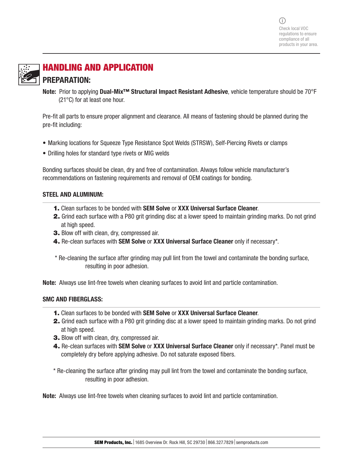

# HANDLING AND APPLICATION PREPARATION:

Note: Prior to applying Dual-Mix<sup>™</sup> Structural Impact Resistant Adhesive, vehicle temperature should be 70°F (21°C) for at least one hour.

Pre-fit all parts to ensure proper alignment and clearance. All means of fastening should be planned during the pre-fit including:

- Marking locations for Squeeze Type Resistance Spot Welds (STRSW), Self-Piercing Rivets or clamps
- Drilling holes for standard type rivets or MIG welds

Bonding surfaces should be clean, dry and free of contamination. Always follow vehicle manufacturer's recommendations on fastening requirements and removal of OEM coatings for bonding.

#### STEEL AND ALUMINUM:

- 1. Clean surfaces to be bonded with SEM Solve or XXX Universal Surface Cleaner.
- 2. Grind each surface with a P80 grit grinding disc at a lower speed to maintain grinding marks. Do not grind at high speed.
- 3. Blow off with clean, dry, compressed air.
- 4. Re-clean surfaces with SEM Solve or XXX Universal Surface Cleaner only if necessary\*.
- \* Re-cleaning the surface after grinding may pull lint from the towel and contaminate the bonding surface, resulting in poor adhesion.

Note: Always use lint-free towels when cleaning surfaces to avoid lint and particle contamination.

#### SMC AND FIBERGLASS:

- 1. Clean surfaces to be bonded with SEM Solve or XXX Universal Surface Cleaner.
- 2. Grind each surface with a P80 grit grinding disc at a lower speed to maintain grinding marks. Do not grind at high speed.
- 3. Blow off with clean, dry, compressed air.
- 4. Re-clean surfaces with SEM Solve or XXX Universal Surface Cleaner only if necessary\*. Panel must be completely dry before applying adhesive. Do not saturate exposed fibers.

\* Re-cleaning the surface after grinding may pull lint from the towel and contaminate the bonding surface, resulting in poor adhesion.

Note: Always use lint-free towels when cleaning surfaces to avoid lint and particle contamination.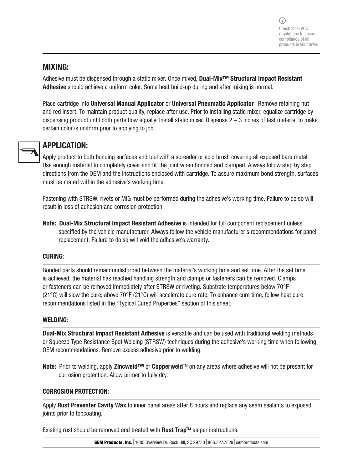## MIXING:

Adhesive must be dispensed through a static mixer. Once mixed, Dual-Mix<sup>™</sup> Structural Impact Resistant Adhesive should achieve a uniform color. Some heat build-up during and after mixing is normal.

Place cartridge into Universal Manual Applicator or Universal Pneumatic Applicator. Remove retaining nut and red insert. To maintain product quality, replace after use. Prior to installing static mixer, equalize cartridge by dispensing product until both parts flow equally. Install static mixer. Dispense  $2-3$  inches of test material to make certain color is uniform prior to applying to job.



## APPLICATION:

Apply product to both bonding surfaces and tool with a spreader or acid brush covering all exposed bare metal. Use enough material to completely cover and fill the joint when bonded and clamped. Always follow step by step directions from the OEM and the instructions enclosed with cartridge. To assure maximum bond strength, surfaces must be mated within the adhesive's working time.

Fastening with STRSW, rivets or MIG must be performed during the adhesive's working time. Failure to do so will result in loss of adhesion and corrosion protection.

Note: Dual-Mix Structural Impact Resistant Adhesive is intended for full component replacement unless specified by the vehicle manufacturer. Always follow the vehicle manufacturer's recommendations for panel replacement. Failure to do so will void the adhesive's warranty.

#### CURING:

Bonded parts should remain undisturbed between the material's working time and set time. After the set time is achieved, the material has reached handling strength and clamps or fasteners can be removed. Clamps or fasteners can be removed immediately after STRSW or riveting. Substrate temperatures below 70°F (21 $^{\circ}$ C) will slow the cure; above 70 $^{\circ}$ F (21 $^{\circ}$ C) will accelerate cure rate. To enhance cure time, follow heat cure recommendations listed in the "Typical Cured Properties" section of this sheet.

#### WELDING:

Dual-Mix Structural Impact Resistant Adhesive is versatile and can be used with traditional welding methods or Squeeze Type Resistance Spot Welding (STRSW) techniques during the adhesive's working time when following OEM recommendations. Remove excess adhesive prior to welding.

Note: Prior to welding, apply Zincweld™ or Copperweld™ on any areas where adhesive will not be present for corrosion protection. Allow primer to fully dry.

#### CORROSION PROTECTION:

Apply Rust Preventer Cavity Wax to inner panel areas after 8 hours and replace any seam sealants to exposed joints prior to topcoating.

Existing rust should be removed and treated with Rust Trap™ as per instructions.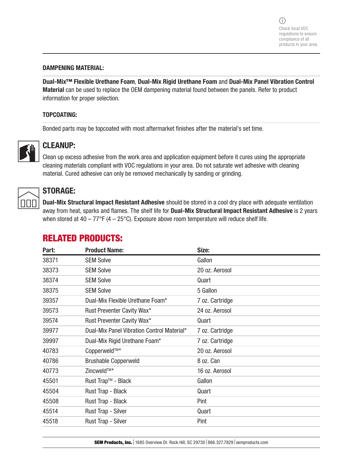#### DAMPENING MATERIAL:

Dual-Mix™ Flexible Urethane Foam, Dual-Mix Rigid Urethane Foam and Dual-Mix Panel Vibration Control Material can be used to replace the OEM dampening material found between the panels. Refer to product information for proper selection.

#### TOPCOATING:

Bonded parts may be topcoated with most aftermarket finishes after the material's set time.



### CLEANUP:

Clean up excess adhesive from the work area and application equipment before it cures using the appropriate cleaning materials compliant with VOC regulations in your area. Do not saturate wet adhesive with cleaning material. Cured adhesive can only be removed mechanically by sanding or grinding.



## STORAGE:

Dual-Mix Structural Impact Resistant Adhesive should be stored in a cool dry place with adequate ventilation away from heat, sparks and flames. The shelf life for **Dual-Mix Structural Impact Resistant Adhesive** is 2 years when stored at  $40 - 77$ °F ( $4 - 25$ °C). Exposure above room temperature will reduce shelf life.

# RELATED PRODUCTS:

| Part: | <b>Product Name:</b>                       | Size:           |
|-------|--------------------------------------------|-----------------|
| 38371 | <b>SEM Solve</b>                           | Gallon          |
| 38373 | <b>SEM Solve</b>                           | 20 oz. Aerosol  |
| 38374 | <b>SEM Solve</b>                           | Quart           |
| 38375 | <b>SEM Solve</b>                           | 5 Gallon        |
| 39357 | Dual-Mix Flexible Urethane Foam*           | 7 oz. Cartridge |
| 39573 | Rust Preventer Cavity Wax*                 | 24 oz. Aerosol  |
| 39574 | Rust Preventer Cavity Wax*                 | Quart           |
| 39977 | Dual-Mix Panel Vibration Control Material* | 7 oz. Cartridge |
| 39997 | Dual-Mix Rigid Urethane Foam*              | 7 oz. Cartridge |
| 40783 | Copperweld™*                               | 20 oz. Aerosol  |
| 40786 | <b>Brushable Copperweld</b>                | 8 oz. Can       |
| 40773 | Zincweld™*                                 | 16 oz. Aerosol  |
| 45501 | Rust Trap <sup>™</sup> - Black             | Gallon          |
| 45504 | Rust Trap - Black                          | Quart           |
| 45508 | Rust Trap - Black                          | Pint            |
| 45514 | Rust Trap - Silver                         | Quart           |
| 45518 | Rust Trap - Silver                         | Pint            |

**SEM Products, Inc.** 1685 Overview Dr. Rock Hill, SC 29730 866.327.7829 semproducts.com